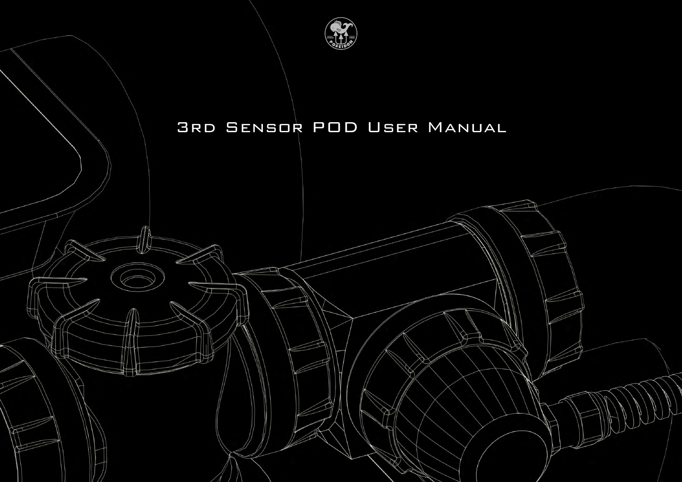

# 3rd Sensor POD User Manual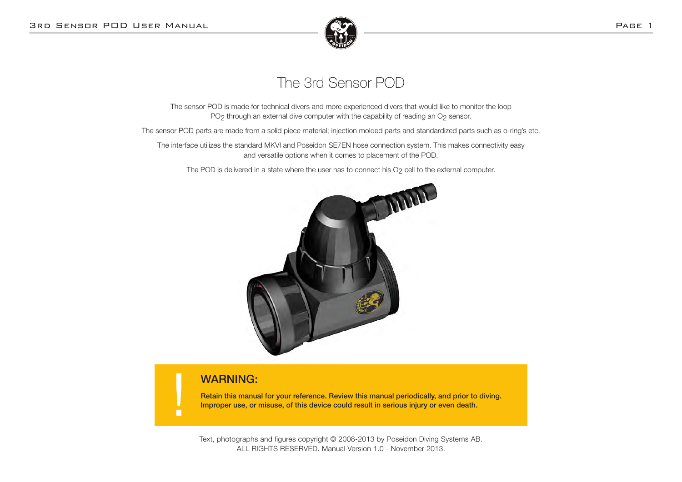

## The 3rd Sensor POD

The sensor POD is made for technical divers and more experienced divers that would like to monitor the loop PO<sub>2</sub> through an external dive computer with the capability of reading an O<sub>2</sub> sensor.

The sensor POD parts are made from a solid piece material; injection molded parts and standardized parts such as o-ring's etc.

The interface utilizes the standard MKVI and Poseidon SE7EN hose connection system. This makes connectivity easy and versatile options when it comes to placement of the POD.

The POD is delivered in a state where the user has to connect his O<sub>2</sub> cell to the external computer.



## WARNING:

г

Retain this manual for your reference. Review this manual periodically, and prior to diving. Improper use, or misuse, of this device could result in serious injury or even death.

Text, photographs and figures copyright © 2008-2013 by Poseidon Diving Systems AB. ALL RIGHTS RESERVED. Manual Version 1.0 - November 2013.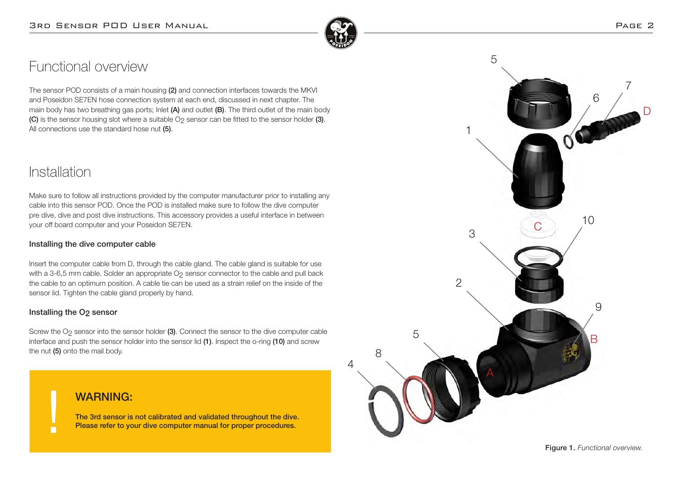

 $\Delta$ 

8

# Functional overview

The sensor POD consists of a main housing (2) and connection interfaces towards the MKVI and Poseidon SE7EN hose connection system at each end, discussed in next chapter. The main body has two breathing gas ports; Inlet  $(A)$  and outlet  $(B)$ . The third outlet of the main body (C) is the sensor housing slot where a suitable O<sub>2</sub> sensor can be fitted to the sensor holder (3). All connections use the standard hose nut (5).

## Installation

Make sure to follow all instructions provided by the computer manufacturer prior to installing any cable into this sensor POD. Once the POD is installed make sure to follow the dive computer pre dive, dive and post dive instructions. This accessory provides a useful interface in between your off board computer and your Poseidon SE7EN.

### Installing the dive computer cable

Insert the computer cable from D, through the cable gland. The cable gland is suitable for use with a 3-6,5 mm cable. Solder an appropriate O<sub>2</sub> sensor connector to the cable and pull back the cable to an optimum position. A cable tie can be used as a strain relief on the inside of the sensor lid. Tighten the cable gland properly by hand.

### Installing the O<sub>2</sub> sensor

П

Screw the O<sub>2</sub> sensor into the sensor holder (3). Connect the sensor to the dive computer cable interface and push the sensor holder into the sensor lid (1). Inspect the o-ring (10) and screw the nut (5) onto the mail body.

## WARNING:

The 3rd sensor is not calibrated and validated throughout the dive. Please refer to your dive computer manual for proper procedures.

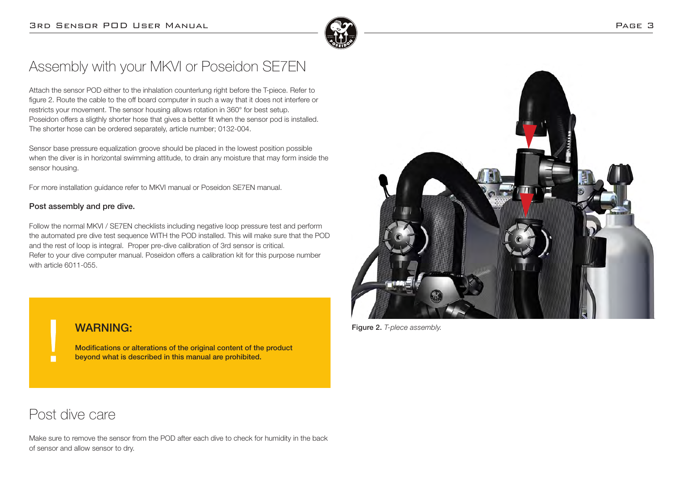

# Assembly with your MKVI or Poseidon SE7EN

Attach the sensor POD either to the inhalation counterlung right before the T-piece. Refer to figure 2. Route the cable to the off board computer in such a way that it does not interfere or restricts your movement. The sensor housing allows rotation in 360° for best setup. Poseidon offers a sligthly shorter hose that gives a better fit when the sensor pod is installed. The shorter hose can be ordered separately, article number; 0132-004.

Sensor base pressure equalization groove should be placed in the lowest position possible when the diver is in horizontal swimming attitude, to drain any moisture that may form inside the sensor housing.

For more installation guidance refer to MKVI manual or Poseidon SE7EN manual.

### Post assembly and pre dive.

Follow the normal MKVI / SE7EN checklists including negative loop pressure test and perform the automated pre dive test sequence WITH the POD installed. This will make sure that the POD and the rest of loop is integral. Proper pre-dive calibration of 3rd sensor is critical. Refer to your dive computer manual. Poseidon offers a calibration kit for this purpose number with article 6011-055.



Figure 2. *T-plece assembly.*

## WARNING:

Modifications or alterations of the original content of the product beyond what is described in this manual are prohibited.

## Post dive care

Make sure to remove the sensor from the POD after each dive to check for humidity in the back of sensor and allow sensor to dry.